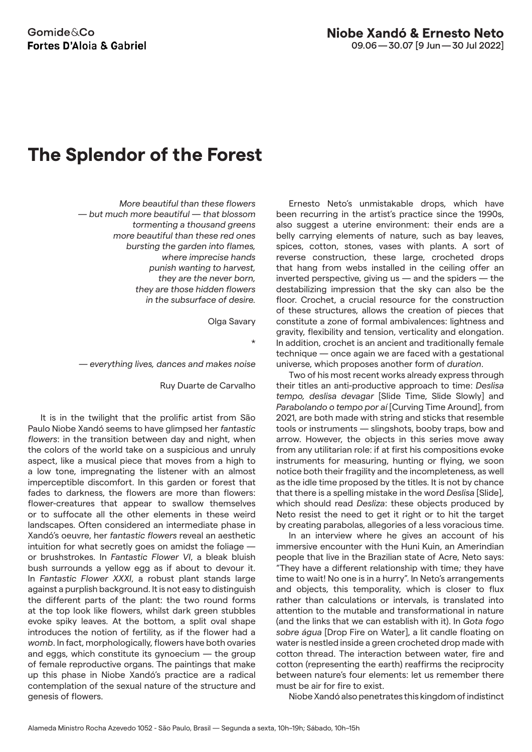## **The Splendor of the Forest**

*More beautiful than these flowers — but much more beautiful — that blossom tormenting a thousand greens more beautiful than these red ones bursting the garden into flames, where imprecise hands punish wanting to harvest, they are the never born, they are those hidden flowers in the subsurface of desire.* 

Olga Savary

\*

*— everything lives, dances and makes noise*

Ruy Duarte de Carvalho

It is in the twilight that the prolific artist from São Paulo Niobe Xandó seems to have glimpsed her *fantastic flowers*: in the transition between day and night, when the colors of the world take on a suspicious and unruly aspect, like a musical piece that moves from a high to a low tone, impregnating the listener with an almost imperceptible discomfort. In this garden or forest that fades to darkness, the flowers are more than flowers: flower-creatures that appear to swallow themselves or to suffocate all the other elements in these weird landscapes. Often considered an intermediate phase in Xandó's oeuvre, her *fantastic flowers* reveal an aesthetic intuition for what secretly goes on amidst the foliage or brushstrokes. In *Fantastic Flower VI*, a bleak bluish bush surrounds a yellow egg as if about to devour it. In *Fantastic Flower XXXI*, a robust plant stands large against a purplish background. It is not easy to distinguish the different parts of the plant: the two round forms at the top look like flowers, whilst dark green stubbles evoke spiky leaves. At the bottom, a split oval shape introduces the notion of fertility, as if the flower had a *womb*. In fact, morphologically, flowers have both ovaries and eggs, which constitute its gynoecium — the group of female reproductive organs. The paintings that make up this phase in Niobe Xandó's practice are a radical contemplation of the sexual nature of the structure and genesis of flowers.

Ernesto Neto's unmistakable drops, which have been recurring in the artist's practice since the 1990s, also suggest a uterine environment: their ends are a belly carrying elements of nature, such as bay leaves, spices, cotton, stones, vases with plants. A sort of reverse construction, these large, crocheted drops that hang from webs installed in the ceiling offer an inverted perspective, giving us — and the spiders — the destabilizing impression that the sky can also be the floor. Crochet, a crucial resource for the construction of these structures, allows the creation of pieces that constitute a zone of formal ambivalences: lightness and gravity, flexibility and tension, verticality and elongation. In addition, crochet is an ancient and traditionally female technique — once again we are faced with a gestational universe, which proposes another form of *duration*.

Two of his most recent works already express through their titles an anti-productive approach to time: *Deslisa tempo, deslisa devagar* [Slide Time, Slide Slowly] and *Parabolando o tempo por aí* [Curving Time Around], from 2021, are both made with string and sticks that resemble tools or instruments — slingshots, booby traps, bow and arrow. However, the objects in this series move away from any utilitarian role: if at first his compositions evoke instruments for measuring, hunting or flying, we soon notice both their fragility and the incompleteness, as well as the idle time proposed by the titles. It is not by chance that there is a spelling mistake in the word *Deslisa* [Slide], which should read *Desliza*: these objects produced by Neto resist the need to get it right or to hit the target by creating parabolas, allegories of a less voracious time.

In an interview where he gives an account of his immersive encounter with the Huni Kuin, an Amerindian people that live in the Brazilian state of Acre, Neto says: "They have a different relationship with time; they have time to wait! No one is in a hurry". In Neto's arrangements and objects, this temporality, which is closer to flux rather than calculations or intervals, is translated into attention to the mutable and transformational in nature (and the links that we can establish with it). In *Gota fogo sobre água* [Drop Fire on Water], a lit candle floating on water is nestled inside a green crocheted drop made with cotton thread. The interaction between water, fire and cotton (representing the earth) reaffirms the reciprocity between nature's four elements: let us remember there must be air for fire to exist.

Niobe Xandó also penetrates this kingdom of indistinct